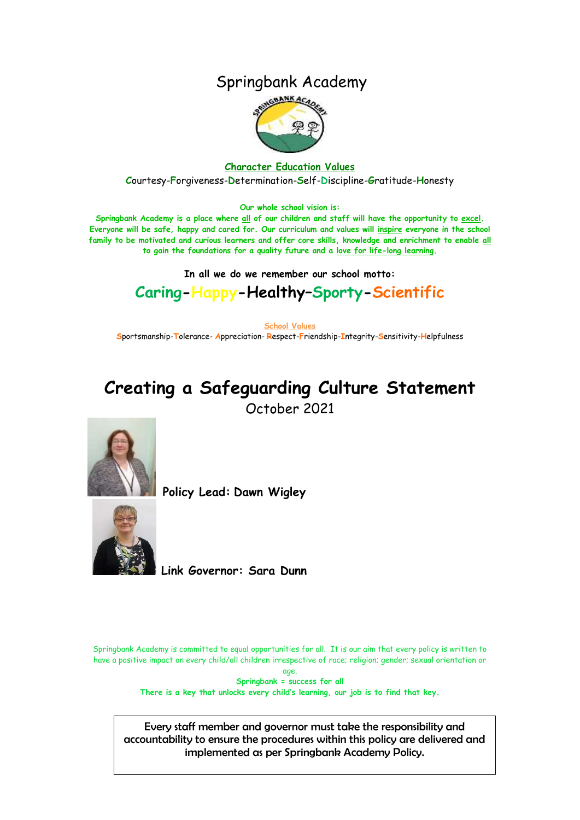## Springbank Academy



**Character Education Values C**ourtesy-**F**orgiveness-**D**etermination-**S**elf-**D**iscipline-**G**ratitude-**H**onesty

**Our whole school vision is:**

**Springbank Academy is a place where all of our children and staff will have the opportunity to excel. Everyone will be safe, happy and cared for. Our curriculum and values will inspire everyone in the school family to be motivated and curious learners and offer core skills, knowledge and enrichment to enable all to gain the foundations for a quality future and a love for life-long learning.**

**In all we do we remember our school motto:**

# **Caring-Happy-Healthy–Sporty-Scientific**

**School Values S**portsmanship-**T**olerance- **A**ppreciation- **R**espect-**F**riendship-**I**ntegrity-**S**ensitivity-**H**elpfulness

# **Creating a Safeguarding Culture Statement** October 2021



**Policy Lead: Dawn Wigley** 



**Link Governor: Sara Dunn**

Springbank Academy is committed to equal opportunities for all. It is our aim that every policy is written to have a positive impact on every child/all children irrespective of race; religion; gender; sexual orientation or age.

**Springbank = success for all There is a key that unlocks every child's learning, our job is to find that key.**

Every staff member and governor must take the responsibility and accountability to ensure the procedures within this policy are delivered and implemented as per Springbank Academy Policy.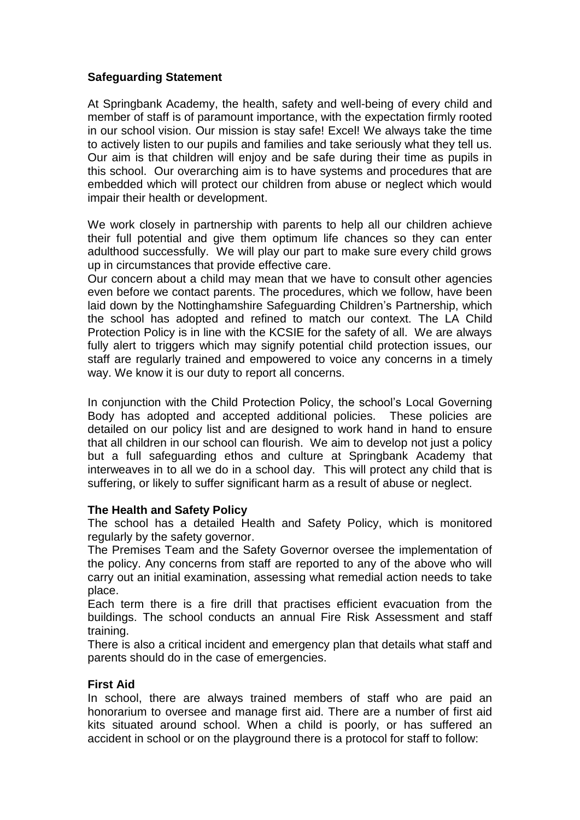## **Safeguarding Statement**

At Springbank Academy, the health, safety and well-being of every child and member of staff is of paramount importance, with the expectation firmly rooted in our school vision. Our mission is stay safe! Excel! We always take the time to actively listen to our pupils and families and take seriously what they tell us. Our aim is that children will enjoy and be safe during their time as pupils in this school. Our overarching aim is to have systems and procedures that are embedded which will protect our children from abuse or neglect which would impair their health or development.

We work closely in partnership with parents to help all our children achieve their full potential and give them optimum life chances so they can enter adulthood successfully. We will play our part to make sure every child grows up in circumstances that provide effective care.

Our concern about a child may mean that we have to consult other agencies even before we contact parents. The procedures, which we follow, have been laid down by the Nottinghamshire Safeguarding Children's Partnership, which the school has adopted and refined to match our context. The LA Child Protection Policy is in line with the KCSIE for the safety of all. We are always fully alert to triggers which may signify potential child protection issues, our staff are regularly trained and empowered to voice any concerns in a timely way. We know it is our duty to report all concerns.

In conjunction with the Child Protection Policy, the school's Local Governing Body has adopted and accepted additional policies. These policies are detailed on our policy list and are designed to work hand in hand to ensure that all children in our school can flourish. We aim to develop not just a policy but a full safeguarding ethos and culture at Springbank Academy that interweaves in to all we do in a school day. This will protect any child that is suffering, or likely to suffer significant harm as a result of abuse or neglect.

## **The Health and Safety Policy**

The school has a detailed Health and Safety Policy, which is monitored regularly by the safety governor.

The Premises Team and the Safety Governor oversee the implementation of the policy. Any concerns from staff are reported to any of the above who will carry out an initial examination, assessing what remedial action needs to take place.

Each term there is a fire drill that practises efficient evacuation from the buildings. The school conducts an annual Fire Risk Assessment and staff training.

There is also a critical incident and emergency plan that details what staff and parents should do in the case of emergencies.

## **First Aid**

In school, there are always trained members of staff who are paid an honorarium to oversee and manage first aid. There are a number of first aid kits situated around school. When a child is poorly, or has suffered an accident in school or on the playground there is a protocol for staff to follow: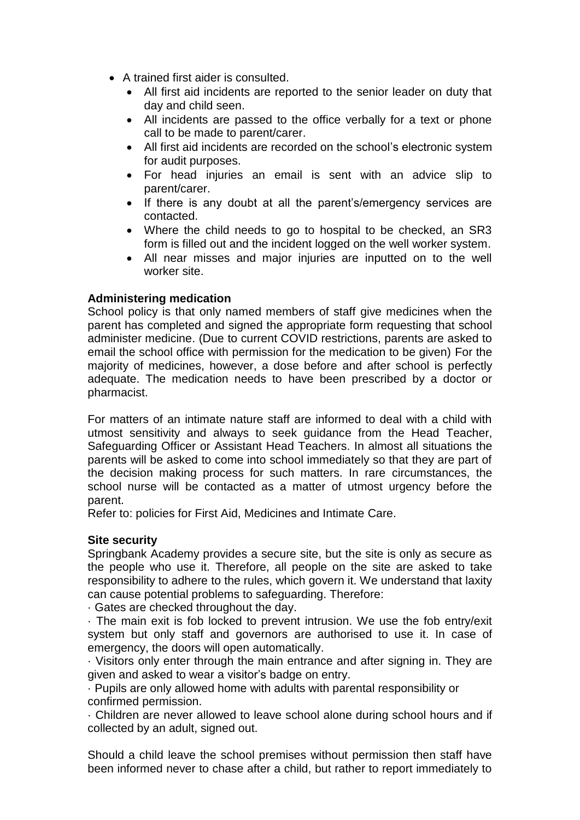- A trained first aider is consulted.
	- All first aid incidents are reported to the senior leader on duty that day and child seen.
	- All incidents are passed to the office verbally for a text or phone call to be made to parent/carer.
	- All first aid incidents are recorded on the school's electronic system for audit purposes.
	- For head injuries an email is sent with an advice slip to parent/carer.
	- If there is any doubt at all the parent's/emergency services are contacted.
	- Where the child needs to go to hospital to be checked, an SR3 form is filled out and the incident logged on the well worker system.
	- All near misses and major injuries are inputted on to the well worker site.

## **Administering medication**

School policy is that only named members of staff give medicines when the parent has completed and signed the appropriate form requesting that school administer medicine. (Due to current COVID restrictions, parents are asked to email the school office with permission for the medication to be given) For the majority of medicines, however, a dose before and after school is perfectly adequate. The medication needs to have been prescribed by a doctor or pharmacist.

For matters of an intimate nature staff are informed to deal with a child with utmost sensitivity and always to seek guidance from the Head Teacher, Safeguarding Officer or Assistant Head Teachers. In almost all situations the parents will be asked to come into school immediately so that they are part of the decision making process for such matters. In rare circumstances, the school nurse will be contacted as a matter of utmost urgency before the parent.

Refer to: policies for First Aid, Medicines and Intimate Care.

## **Site security**

Springbank Academy provides a secure site, but the site is only as secure as the people who use it. Therefore, all people on the site are asked to take responsibility to adhere to the rules, which govern it. We understand that laxity can cause potential problems to safeguarding. Therefore:

· Gates are checked throughout the day.

· The main exit is fob locked to prevent intrusion. We use the fob entry/exit system but only staff and governors are authorised to use it. In case of emergency, the doors will open automatically.

· Visitors only enter through the main entrance and after signing in. They are given and asked to wear a visitor's badge on entry.

· Pupils are only allowed home with adults with parental responsibility or confirmed permission.

· Children are never allowed to leave school alone during school hours and if collected by an adult, signed out.

Should a child leave the school premises without permission then staff have been informed never to chase after a child, but rather to report immediately to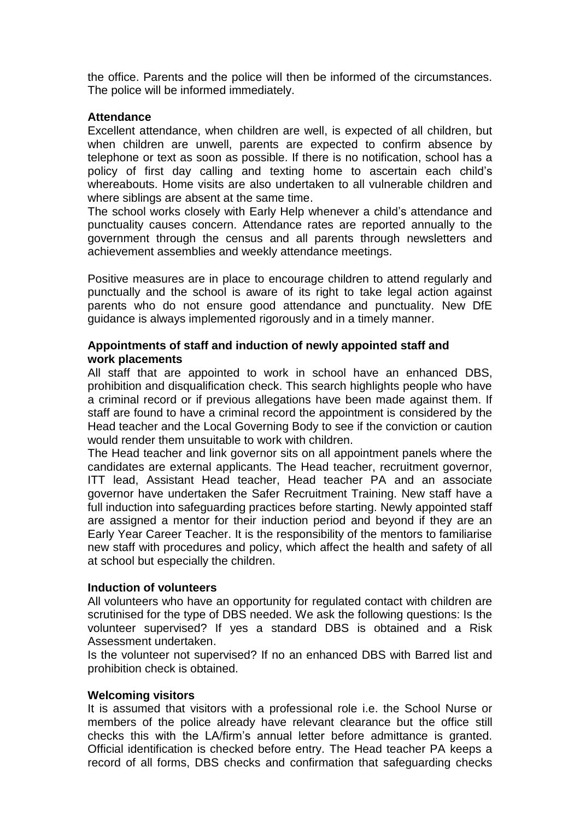the office. Parents and the police will then be informed of the circumstances. The police will be informed immediately.

#### **Attendance**

Excellent attendance, when children are well, is expected of all children, but when children are unwell, parents are expected to confirm absence by telephone or text as soon as possible. If there is no notification, school has a policy of first day calling and texting home to ascertain each child's whereabouts. Home visits are also undertaken to all vulnerable children and where siblings are absent at the same time.

The school works closely with Early Help whenever a child's attendance and punctuality causes concern. Attendance rates are reported annually to the government through the census and all parents through newsletters and achievement assemblies and weekly attendance meetings.

Positive measures are in place to encourage children to attend regularly and punctually and the school is aware of its right to take legal action against parents who do not ensure good attendance and punctuality. New DfE guidance is always implemented rigorously and in a timely manner.

## **Appointments of staff and induction of newly appointed staff and work placements**

All staff that are appointed to work in school have an enhanced DBS, prohibition and disqualification check. This search highlights people who have a criminal record or if previous allegations have been made against them. If staff are found to have a criminal record the appointment is considered by the Head teacher and the Local Governing Body to see if the conviction or caution would render them unsuitable to work with children.

The Head teacher and link governor sits on all appointment panels where the candidates are external applicants. The Head teacher, recruitment governor, ITT lead, Assistant Head teacher, Head teacher PA and an associate governor have undertaken the Safer Recruitment Training. New staff have a full induction into safeguarding practices before starting. Newly appointed staff are assigned a mentor for their induction period and beyond if they are an Early Year Career Teacher. It is the responsibility of the mentors to familiarise new staff with procedures and policy, which affect the health and safety of all at school but especially the children.

## **Induction of volunteers**

All volunteers who have an opportunity for regulated contact with children are scrutinised for the type of DBS needed. We ask the following questions: Is the volunteer supervised? If yes a standard DBS is obtained and a Risk Assessment undertaken.

Is the volunteer not supervised? If no an enhanced DBS with Barred list and prohibition check is obtained.

## **Welcoming visitors**

It is assumed that visitors with a professional role i.e. the School Nurse or members of the police already have relevant clearance but the office still checks this with the LA/firm's annual letter before admittance is granted. Official identification is checked before entry. The Head teacher PA keeps a record of all forms, DBS checks and confirmation that safeguarding checks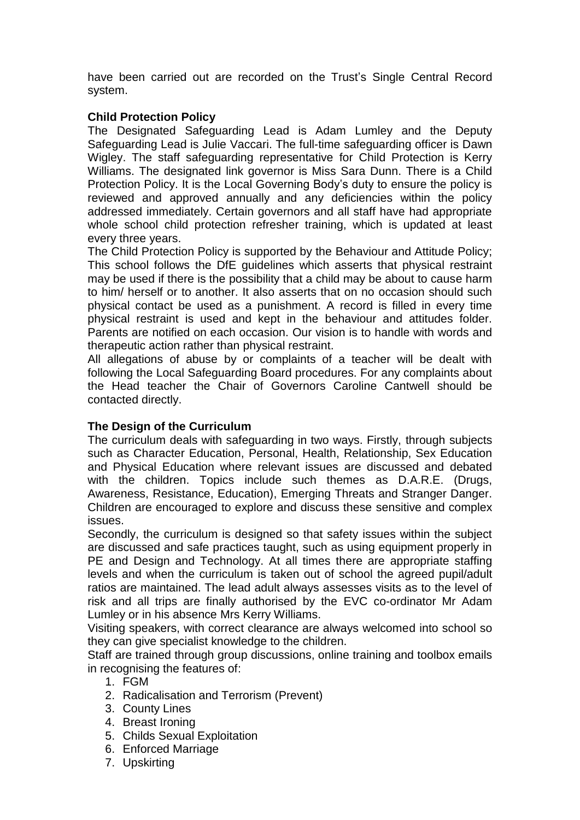have been carried out are recorded on the Trust's Single Central Record system.

## **Child Protection Policy**

The Designated Safeguarding Lead is Adam Lumley and the Deputy Safeguarding Lead is Julie Vaccari. The full-time safeguarding officer is Dawn Wigley. The staff safeguarding representative for Child Protection is Kerry Williams. The designated link governor is Miss Sara Dunn. There is a Child Protection Policy. It is the Local Governing Body's duty to ensure the policy is reviewed and approved annually and any deficiencies within the policy addressed immediately. Certain governors and all staff have had appropriate whole school child protection refresher training, which is updated at least every three years.

The Child Protection Policy is supported by the Behaviour and Attitude Policy; This school follows the DfE guidelines which asserts that physical restraint may be used if there is the possibility that a child may be about to cause harm to him/ herself or to another. It also asserts that on no occasion should such physical contact be used as a punishment. A record is filled in every time physical restraint is used and kept in the behaviour and attitudes folder. Parents are notified on each occasion. Our vision is to handle with words and therapeutic action rather than physical restraint.

All allegations of abuse by or complaints of a teacher will be dealt with following the Local Safeguarding Board procedures. For any complaints about the Head teacher the Chair of Governors Caroline Cantwell should be contacted directly.

## **The Design of the Curriculum**

The curriculum deals with safeguarding in two ways. Firstly, through subjects such as Character Education, Personal, Health, Relationship, Sex Education and Physical Education where relevant issues are discussed and debated with the children. Topics include such themes as D.A.R.E. (Drugs, Awareness, Resistance, Education), Emerging Threats and Stranger Danger. Children are encouraged to explore and discuss these sensitive and complex issues.

Secondly, the curriculum is designed so that safety issues within the subject are discussed and safe practices taught, such as using equipment properly in PE and Design and Technology. At all times there are appropriate staffing levels and when the curriculum is taken out of school the agreed pupil/adult ratios are maintained. The lead adult always assesses visits as to the level of risk and all trips are finally authorised by the EVC co-ordinator Mr Adam Lumley or in his absence Mrs Kerry Williams.

Visiting speakers, with correct clearance are always welcomed into school so they can give specialist knowledge to the children.

Staff are trained through group discussions, online training and toolbox emails in recognising the features of:

- 1. FGM
- 2. Radicalisation and Terrorism (Prevent)
- 3. County Lines
- 4. Breast Ironing
- 5. Childs Sexual Exploitation
- 6. Enforced Marriage
- 7. Upskirting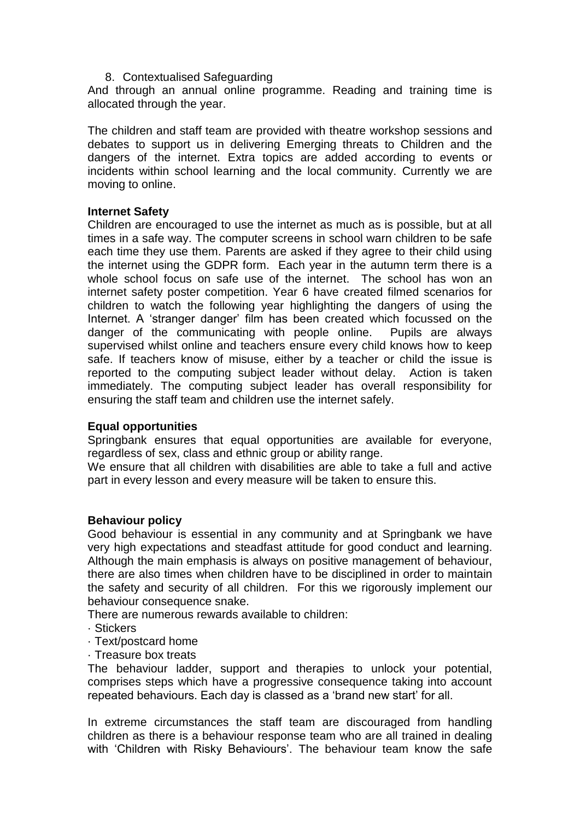#### 8. Contextualised Safeguarding

And through an annual online programme. Reading and training time is allocated through the year.

The children and staff team are provided with theatre workshop sessions and debates to support us in delivering Emerging threats to Children and the dangers of the internet. Extra topics are added according to events or incidents within school learning and the local community. Currently we are moving to online.

#### **Internet Safety**

Children are encouraged to use the internet as much as is possible, but at all times in a safe way. The computer screens in school warn children to be safe each time they use them. Parents are asked if they agree to their child using the internet using the GDPR form. Each year in the autumn term there is a whole school focus on safe use of the internet. The school has won an internet safety poster competition. Year 6 have created filmed scenarios for children to watch the following year highlighting the dangers of using the Internet. A 'stranger danger' film has been created which focussed on the danger of the communicating with people online. Pupils are always supervised whilst online and teachers ensure every child knows how to keep safe. If teachers know of misuse, either by a teacher or child the issue is reported to the computing subject leader without delay. Action is taken immediately. The computing subject leader has overall responsibility for ensuring the staff team and children use the internet safely.

## **Equal opportunities**

Springbank ensures that equal opportunities are available for everyone, regardless of sex, class and ethnic group or ability range.

We ensure that all children with disabilities are able to take a full and active part in every lesson and every measure will be taken to ensure this.

## **Behaviour policy**

Good behaviour is essential in any community and at Springbank we have very high expectations and steadfast attitude for good conduct and learning. Although the main emphasis is always on positive management of behaviour, there are also times when children have to be disciplined in order to maintain the safety and security of all children. For this we rigorously implement our behaviour consequence snake.

There are numerous rewards available to children:

- · Stickers
- · Text/postcard home
- · Treasure box treats

The behaviour ladder, support and therapies to unlock your potential, comprises steps which have a progressive consequence taking into account repeated behaviours. Each day is classed as a 'brand new start' for all.

In extreme circumstances the staff team are discouraged from handling children as there is a behaviour response team who are all trained in dealing with 'Children with Risky Behaviours'. The behaviour team know the safe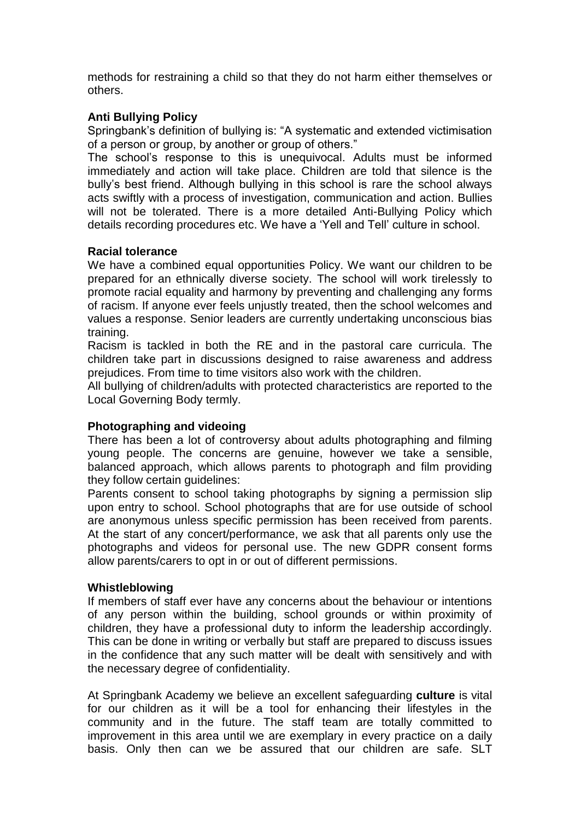methods for restraining a child so that they do not harm either themselves or others.

## **Anti Bullying Policy**

Springbank's definition of bullying is: "A systematic and extended victimisation of a person or group, by another or group of others."

The school's response to this is unequivocal. Adults must be informed immediately and action will take place. Children are told that silence is the bully's best friend. Although bullying in this school is rare the school always acts swiftly with a process of investigation, communication and action. Bullies will not be tolerated. There is a more detailed Anti-Bullying Policy which details recording procedures etc. We have a 'Yell and Tell' culture in school.

## **Racial tolerance**

We have a combined equal opportunities Policy. We want our children to be prepared for an ethnically diverse society. The school will work tirelessly to promote racial equality and harmony by preventing and challenging any forms of racism. If anyone ever feels unjustly treated, then the school welcomes and values a response. Senior leaders are currently undertaking unconscious bias training.

Racism is tackled in both the RE and in the pastoral care curricula. The children take part in discussions designed to raise awareness and address prejudices. From time to time visitors also work with the children.

All bullying of children/adults with protected characteristics are reported to the Local Governing Body termly.

## **Photographing and videoing**

There has been a lot of controversy about adults photographing and filming young people. The concerns are genuine, however we take a sensible, balanced approach, which allows parents to photograph and film providing they follow certain guidelines:

Parents consent to school taking photographs by signing a permission slip upon entry to school. School photographs that are for use outside of school are anonymous unless specific permission has been received from parents. At the start of any concert/performance, we ask that all parents only use the photographs and videos for personal use. The new GDPR consent forms allow parents/carers to opt in or out of different permissions.

#### **Whistleblowing**

If members of staff ever have any concerns about the behaviour or intentions of any person within the building, school grounds or within proximity of children, they have a professional duty to inform the leadership accordingly. This can be done in writing or verbally but staff are prepared to discuss issues in the confidence that any such matter will be dealt with sensitively and with the necessary degree of confidentiality.

At Springbank Academy we believe an excellent safeguarding **culture** is vital for our children as it will be a tool for enhancing their lifestyles in the community and in the future. The staff team are totally committed to improvement in this area until we are exemplary in every practice on a daily basis. Only then can we be assured that our children are safe. SLT